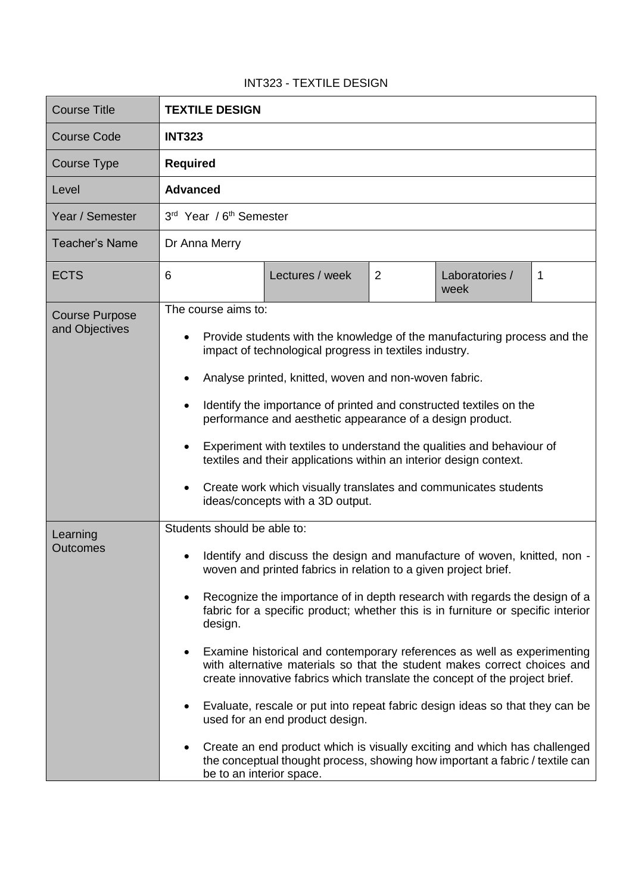## INT323 - TEXTILE DESIGN

| <b>Course Title</b>                     | <b>TEXTILE DESIGN</b>                                                                                                                                                                                                                                                                                                                                                                                                                                                                                                                                                                                                                                                                                                                                                                                                                                                                                     |  |  |
|-----------------------------------------|-----------------------------------------------------------------------------------------------------------------------------------------------------------------------------------------------------------------------------------------------------------------------------------------------------------------------------------------------------------------------------------------------------------------------------------------------------------------------------------------------------------------------------------------------------------------------------------------------------------------------------------------------------------------------------------------------------------------------------------------------------------------------------------------------------------------------------------------------------------------------------------------------------------|--|--|
| <b>Course Code</b>                      | <b>INT323</b>                                                                                                                                                                                                                                                                                                                                                                                                                                                                                                                                                                                                                                                                                                                                                                                                                                                                                             |  |  |
| Course Type                             | <b>Required</b>                                                                                                                                                                                                                                                                                                                                                                                                                                                                                                                                                                                                                                                                                                                                                                                                                                                                                           |  |  |
| Level                                   | <b>Advanced</b>                                                                                                                                                                                                                                                                                                                                                                                                                                                                                                                                                                                                                                                                                                                                                                                                                                                                                           |  |  |
| Year / Semester                         | 3rd Year / 6 <sup>th</sup> Semester                                                                                                                                                                                                                                                                                                                                                                                                                                                                                                                                                                                                                                                                                                                                                                                                                                                                       |  |  |
| <b>Teacher's Name</b>                   | Dr Anna Merry                                                                                                                                                                                                                                                                                                                                                                                                                                                                                                                                                                                                                                                                                                                                                                                                                                                                                             |  |  |
| <b>ECTS</b>                             | 6<br>$\overline{2}$<br>Lectures / week<br>Laboratories /<br>1<br>week                                                                                                                                                                                                                                                                                                                                                                                                                                                                                                                                                                                                                                                                                                                                                                                                                                     |  |  |
| <b>Course Purpose</b><br>and Objectives | The course aims to:<br>Provide students with the knowledge of the manufacturing process and the<br>impact of technological progress in textiles industry.<br>Analyse printed, knitted, woven and non-woven fabric.<br>Identify the importance of printed and constructed textiles on the<br>performance and aesthetic appearance of a design product.<br>Experiment with textiles to understand the qualities and behaviour of<br>$\bullet$<br>textiles and their applications within an interior design context.<br>Create work which visually translates and communicates students<br>ideas/concepts with a 3D output.                                                                                                                                                                                                                                                                                  |  |  |
| Learning<br><b>Outcomes</b>             | Students should be able to:<br>Identify and discuss the design and manufacture of woven, knitted, non -<br>woven and printed fabrics in relation to a given project brief.<br>Recognize the importance of in depth research with regards the design of a<br>fabric for a specific product; whether this is in furniture or specific interior<br>design.<br>Examine historical and contemporary references as well as experimenting<br>with alternative materials so that the student makes correct choices and<br>create innovative fabrics which translate the concept of the project brief.<br>Evaluate, rescale or put into repeat fabric design ideas so that they can be<br>used for an end product design.<br>Create an end product which is visually exciting and which has challenged<br>the conceptual thought process, showing how important a fabric / textile can<br>be to an interior space. |  |  |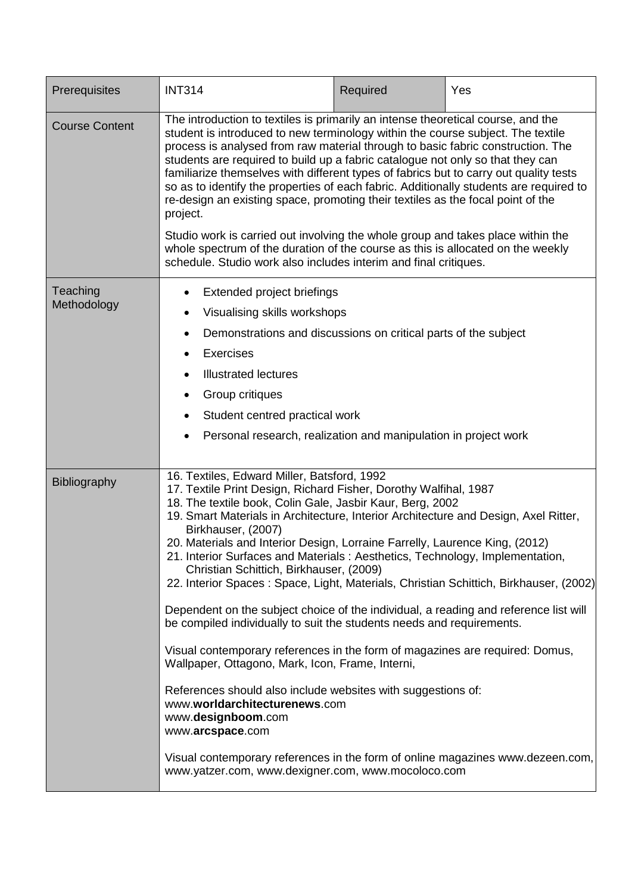| Prerequisites           | <b>INT314</b>                                                                                                                                                                                                                                                                                                                                                                                                                                                                                                                                                                                                                                                                                                                                                                                                                                                                                                                                                                                                                                                                                                                                                                        | Required | Yes |
|-------------------------|--------------------------------------------------------------------------------------------------------------------------------------------------------------------------------------------------------------------------------------------------------------------------------------------------------------------------------------------------------------------------------------------------------------------------------------------------------------------------------------------------------------------------------------------------------------------------------------------------------------------------------------------------------------------------------------------------------------------------------------------------------------------------------------------------------------------------------------------------------------------------------------------------------------------------------------------------------------------------------------------------------------------------------------------------------------------------------------------------------------------------------------------------------------------------------------|----------|-----|
| <b>Course Content</b>   | The introduction to textiles is primarily an intense theoretical course, and the<br>student is introduced to new terminology within the course subject. The textile<br>process is analysed from raw material through to basic fabric construction. The<br>students are required to build up a fabric catalogue not only so that they can<br>familiarize themselves with different types of fabrics but to carry out quality tests<br>so as to identify the properties of each fabric. Additionally students are required to<br>re-design an existing space, promoting their textiles as the focal point of the<br>project.<br>Studio work is carried out involving the whole group and takes place within the<br>whole spectrum of the duration of the course as this is allocated on the weekly<br>schedule. Studio work also includes interim and final critiques.                                                                                                                                                                                                                                                                                                                 |          |     |
| Teaching<br>Methodology | Extended project briefings<br>Visualising skills workshops<br>٠<br>Demonstrations and discussions on critical parts of the subject<br>٠<br><b>Exercises</b><br><b>Illustrated lectures</b><br>Group critiques<br>Student centred practical work<br>Personal research, realization and manipulation in project work                                                                                                                                                                                                                                                                                                                                                                                                                                                                                                                                                                                                                                                                                                                                                                                                                                                                   |          |     |
| Bibliography            | 16. Textiles, Edward Miller, Batsford, 1992<br>17. Textile Print Design, Richard Fisher, Dorothy Walfihal, 1987<br>18. The textile book, Colin Gale, Jasbir Kaur, Berg, 2002<br>19. Smart Materials in Architecture, Interior Architecture and Design, Axel Ritter,<br>Birkhauser, (2007)<br>20. Materials and Interior Design, Lorraine Farrelly, Laurence King, (2012)<br>21. Interior Surfaces and Materials: Aesthetics, Technology, Implementation,<br>Christian Schittich, Birkhauser, (2009)<br>22. Interior Spaces: Space, Light, Materials, Christian Schittich, Birkhauser, (2002)<br>Dependent on the subject choice of the individual, a reading and reference list will<br>be compiled individually to suit the students needs and requirements.<br>Visual contemporary references in the form of magazines are required: Domus,<br>Wallpaper, Ottagono, Mark, Icon, Frame, Interni,<br>References should also include websites with suggestions of:<br>www.worldarchitecturenews.com<br>www.designboom.com<br>www.arcspace.com<br>Visual contemporary references in the form of online magazines www.dezeen.com,<br>www.yatzer.com, www.dexigner.com, www.mocoloco.com |          |     |